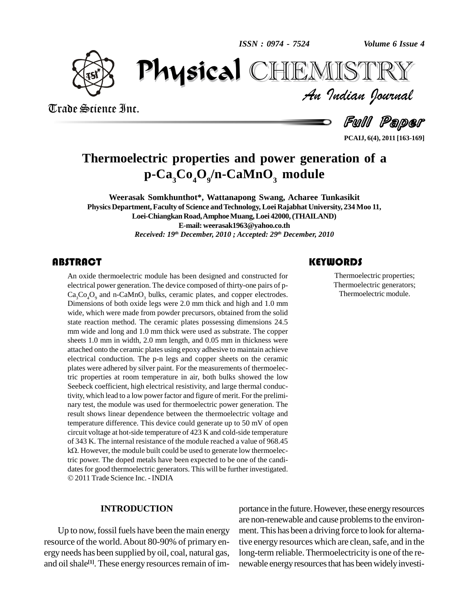*ISSN : 0974 - 7524*

*Volume 6 Issue 4*



*Volume 6 Issue 4*<br>IISTRY<br>Indian Iournal  $\mathbf{P}$ CHIEMISTRY

Trade Science Inc. Trade Science Inc.

Full Paper

**PCAIJ, 6(4), 2011 [163-169]**

# **Thermoelectric properties and power generation of a p-Ca3Co4O<sup>9</sup> /n-CaMnO<sup>3</sup> module**

**Weerasak Somkhunthot\*, Wattanapong Swang, Acharee Tunkasikit Physics Department,Faculty of Science andTechnology, Loei Rajabhat University, 234 Moo 11, Loei-ChiangkanRoad,AmphoeMuang,Loei 42000,(THAILAND) E-mail: [weerasak1963@yahoo.co.th](mailto:weerasak1963@yahoo.co.th)** *Received: 19 th December, 2010 ; Accepted: 29 th December, 2010*

### **ABSTRACT**

An oxide thermoelectric<br>electrical power generation<br>Ca<sub>3</sub>Co<sub>4</sub>O<sub>9</sub> and n-CaMnC An oxide thermoelectric module has been designed and constructed for electrical power generation. The device composed of thirty-one pairs of p-  $Ca<sub>3</sub>Co<sub>4</sub>O<sub>9</sub>$  and n-CaMnO<sub>3</sub> bulks, ceramic plates, and copper electrodes. Dimensions of both oxide legs were 2.0 mm thick and high and 1.0 mm wide, which were made from powder precursors, obtained from the solid state reaction method. The ceramic plates possessing dimensions 24.5 mm wide and long and 1.0 mm thick were used as substrate. The copper sheets 1.0 mm in width, 2.0 mm length, and 0.05 mm in thickness were attached onto the ceramic plates using epoxy adhesive to maintain achieve electrical conduction. The p-n legs and copper sheets on the ceramic plates were adhered by silver paint. For the measurements of thermoelectric properties at room temperature in air, both bulks showed the low Seebeck coefficient, high electrical resistivity, and large thermal conductivity, which lead to a low power factor and figure of merit. For the prelimi nary test, the module was used for thermoelectric power generation. The result shows linear dependence between the thermoelectric voltage and temperature difference. This device could generate up to 50 mV of open circuit voltage at hot-side temperature of 423 K and cold-side temperature of 343 K. The internal resistance of the module reached a value of 968.45  $k\Omega$ . However, the module built could be used to generate low thermoelectric power. The doped metals have been expected to be one of the candi dates for good thermoelectric generators. This will be further investigated. 2011Trade Science Inc. - INDIA

#### **INTRODUCTION**

Up to now, fossil fuels have been the main energy resource of the world.About 80-90% of primary en ergy needs has been supplied by oil, coal, natural gas, and oil shale<sup>[1]</sup>. These energy resources remain of im-

### **KEYWORDS**

Thermoelectric prop<br>Thermoelectric gene<br>Thermoelectric mo Thermoelectric properties; Thermoelectric generators; Thermoelectric module.

portance in the future. However, these energy resources are non-renewable and cause problems to the environment. This has been a driving force to look for alternative energy resources which are clean, safe, and in the long-term reliable. Thermoelectricity is one of the renewable energy resources that has been widely investi-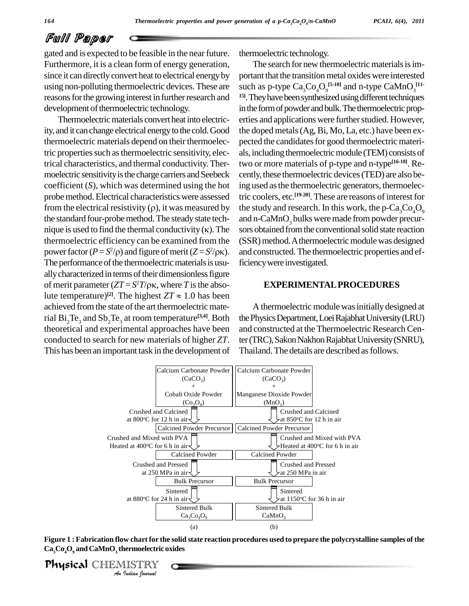gated and is expected to be feasible in the near future. Furthermore, it is a clean form of energy generation, since it can directly convert heat to electrical energy by using non-polluting thermoelectric devices.These are reasons for the growing interest in further research and development of thermoelectric technology.

Thermoelectric materials convert heat into electricity, and it can change electrical energy to the cold. Good thermoelectric materials depend on their thermoelectric properties such as thermoelectric sensitivity, electrical characteristics, and thermal conductivity.Ther moelectric sensitivity is the charge carriers and Seebeck coefficient  $(S)$ , which was determined using the hot ing use<br>probe method. Electrical characteristics were assessed tric coor<br>from the electrical resistivity  $(\rho)$ , it was measured by the stud probemethod.Electrical characteristics were assessed the standard four-probe method. The steady state tech- and from the electrical resistivity  $(\rho)$ , it was measured by the stute standard four-probe method. The steady state tech-<br>nique is used to find the thermal conductivity  $(\kappa)$ . The sors of thermoelectric efficiency can be examined from the mique is used to find the thermal conductivity ( $\kappa$ ). The so<br>thermoelectric efficiency can be examined from the (S<br>power factor ( $P = S^2/\rho$ ) and figure of merit ( $Z = S^2/\rho\kappa$ ). an The performance of the thermoelectric materials is usu-<br>ally characterized in terms of their dimensionless figure<br>of merit parameter  $(ZT = S^2T/\rho\kappa$ , where *T* is the absoally characterized in terms of their dimensionless figure of merit parameter  $(ZT = S^2T/\rho\kappa$ , where T is the absoally characterized in terms of their dimensionless figure<br>of merit parameter  $(ZT = S^2T/\rho\kappa)$ , where *T* is the abso-<br>lute temperature)<sup>[2]</sup>. The highest  $ZT \approx 1.0$  has been achieved from the state of the art thermoelectric material  $Bi_2Te_3$  and  $Sb_2Te_3$  at room temperature<sup>[3,4]</sup>. Both the Phy theoretical and experimental approaches have been conducted to search for new materials of higher *ZT*. This has been an important task in the development of

thermoelectric technology.

The search for new thermoelectric materials is important that the transition metal oxides were interested such as p-type  $\text{Ca}_{3}\text{Co}_{4}\text{O}_{9}^{[5\text{-}10]}$  and n-type  $\text{CaMnO}_{3}^{[11\text{-}11\text{-}1]}$ <sup>15]</sup>. They have been synthesized using different techniques in the form of powder and bulk. The thermoelectric properties and applications were further studied. However, the doped metals(Ag, Bi, Mo, La, etc.) have been ex pected the candidates for good thermoelectric materials, including thermoelectric module (TEM) consists of two or more materials of p-type and n-type **[16-18]**. Re cently, these thermoelectric devices(TED) are also being used asthe thermoelectric generators, thermoelectric coolers, etc. **[19-20]**. These are reasons of interestfor the study and research. In this work, the  $p$ -Ca<sub>2</sub>Co<sub>4</sub>O<sub>0</sub> and n-CaMnO<sub>3</sub> bulks were made from powder precursors obtained from the conventional solid state reaction (SSR) method. A thermoelectric module was designed and constructed.The thermoelectric properties and efficiencywere investigated.

#### **EXPERIMENTALPROCEDURES**

A thermoelectric module wasinitially designed at thePhysicsDepartment,LoeiRajabhatUniversity(LRU) and constructed at the Thermoelectric Research Center (TRC), Sakon Nakhon Rajabhat University (SNRU), Thailand. The details are described as follows.



Physical CHEMISTRY Figure 1 : Fabrication flow chart for the solid state reaction procedures used to prepare the polycrystalline samples of the **Ca3Co4O<sup>9</sup> andCaMnO<sup>3</sup> thermoelectric oxides**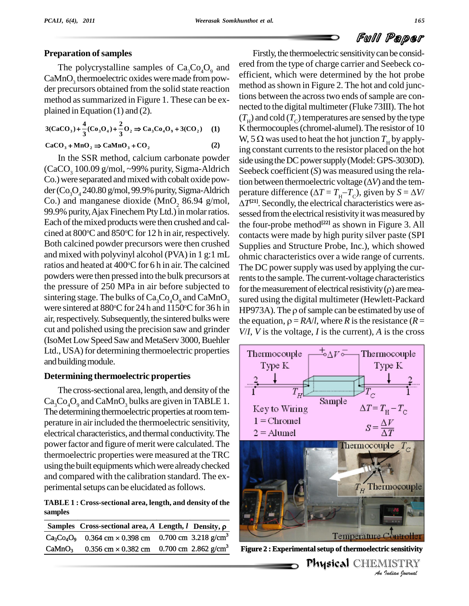#### **Preparation** of samples

The polycrystalline samples of  $Ca<sub>3</sub>Co<sub>4</sub>O<sub>9</sub>$  and  $CaMnO<sub>3</sub>$  thermoelectric oxides were made from powder precursors obtained from the solid state reaction method as summarized in Figure 1. These can be ex-

plained in Equation (1) and (2).  
\n
$$
3(CaCO_3) + \frac{4}{3}(Co_3O_4) + \frac{2}{3}O_2 \Rightarrow Ca_3Co_4O_9 + 3(CO_2)
$$
 (1)  
\n
$$
CaCO_3 + MnO_2 \Rightarrow CaMnO_3 + CO_2
$$
 (2)

$$
CaCO_3 + MnO_2 \Rightarrow CaMnO_3 + CO_2 \tag{2}
$$

In the SSR method, calcium carbonate powder  $(CaCO<sub>3</sub> 100.09 g/mol, ~99% purity, Sigma-Aldrich$ Co.) were separated and mixed with cobalt oxide pow $der(Co<sub>2</sub>O<sub>4</sub> 240.80 g/mol, 99.9% purity, Sigma-Aldrich$ Co.) and manganese dioxide (MnO<sub>2</sub> 86.94 g/mol, 99.9% purity, Ajax Finechem Pty Ltd.) in molar ratios. Each of the mixed products were then crushed and calcined at 800 °C and 850 °C for 12 h in air, respectively.  $_{\rm CC}$ Both calcined powder precursors were then crushed and mixed with polyvinyl alcohol (PVA) in 1 g:1 mL ratios and heated at 400 °C for 6 h in air. The calcined  $\tau_{he}$  Do powders were then pressed into the bulk precursors at sintering stage. The bulks of  $Ca_{3}Co_{4}O_{9}$  and  $CaMnO_{3}$ were sintered at  $880^{\circ}$ C for 24 h and  $1150^{\circ}$ C for 36 h in HP973 air, respectively. Subsequently, the sintered bulks were cut and polished using the precision saw andgrinder (IsoMet Low Speed Saw and MetaServ 3000, Buehler Ltd., USA) for determining thermoelectric properties  $\parallel$  Thermocouple and building module.

#### **Determining thermoelectric properties**

The cross-sectional area, length, and density of the  $Ca<sub>3</sub>Co<sub>4</sub>O<sub>9</sub>$  and CaMnO<sub>3</sub> bulks are given in TABLE 1.<br>The determining thermoelectric properties at room tem-<br>perature in air included the thermoelectric sensitivity  $1 =$  Chromel perature in airincluded the thermoelectric sensitivity, electrical characteristics, and thermal conductivity. The  $\begin{array}{|c|c|} \hline 2 = \text{Alumel} \end{array}$ power factor and figure of merit were calculated. The thermoelectric properties were measured at the TRC using the built equipments which were already checked and compared with the calibration standard. The ex perimental setups can be elucidated as follows.

**TABLE 1 : Cross-sectional area, length, and density of the samples Samples Cross-sectional area,** *A* **Length,** *l* **Density**, **p** 

|                    | Samples Cross-sectional area, A Length, $l$ Density, $\rho$        |                  |
|--------------------|--------------------------------------------------------------------|------------------|
|                    | $Ca_3Co_4O_9$ 0.364 cm × 0.398 cm 0.700 cm 3.218 g/cm <sup>3</sup> |                  |
| CaMnO <sub>3</sub> | 0.356 cm $\times$ 0.382 cm 0.700 cm 2.862 g/cm <sup>3</sup>        | <b>Figure 2:</b> |

the pressure of 250 MPa in air before subjected to for the measurement of electrical resistivity  $(\rho)$  are mea-Firstly, the thermoelectric sensitivity can be considered from the type of charge carrier and Seebeck co efficient, which were determined by the hot probe method as shown in Figure 2. The hot and cold junctions between the across two ends of sample are connected to the digital multimeter(Fluke 73III). The hot ( $T<sub>H</sub>$ ) and cold ( $T<sub>C</sub>$ ) temperatures are sensed by the type<br>K thermocouples (chromel-alumel). The resistor of 10<br>W, 5 Ω was used to heat the hot junction  $T<sub>H</sub>$  by apply-K thermocouples (chromel-alumel). The resistor of 10 ing constant currents to the resistor placed on the hot side using the DC power supply (Model: GPS-3030D). Seebeck coefficient (*S*) was measured using the relaside using the DC power supply (Model: GPS-3030D).<br>Seebeck coefficient (*S*) was measured using the relation between thermoelectric voltage ( $\Delta V$ ) and the tem-Seebeck coefficient (*S*) was measured using the relation between thermoelectric voltage ( $\Delta V$ ) and the temperature difference ( $\Delta T = T_H - T_C$ ), given by  $S = \Delta V$ / tion between thermoelectric voltage  $(\Delta V)$  and the tem-*T* **[21]**. Secondly, the electrical characteristics were as sessed from the electrical resistivity it was measured by the four-probe method **[22]** as shown in Figure 3. All contacts were made by high purity silver paste (SPI Supplies and Structure Probe, Inc.), which showed ohmic characteristics over a wide range of currents. The DC power supply was used by applying the currents to the sample. The current-voltage characteristics for the measurement of electrical resistivity  $(\rho)$  are mearents to the sample. The current-voltage characteristics sured using the digital multimeter (Hewlett-Packard HP973A). The  $\rho$  of sample can be estimated by use of the equation,  $\rho = RA/l$ , where *R* is the resistance (*R* = *V*/*I*, *V* is the voltage, *I* is the current), *A* is the cross



3 **Figure 2 : Experimental setup of thermoelectric sensitivity**

ministry of infinite-measuring,<br>Physical CHEMISTRY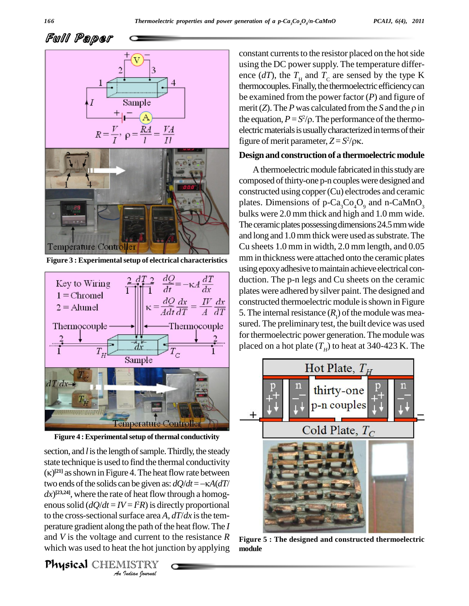

**Figure 3 : Experimentalsetup of electrical characteristics**



**Figure 4 : Experimental setup of thermal conductivity** 

enous solid  $(dQ/dt = IV = P R)$  is directly proportional *I* – *I I I* is different and *I* the path of the path of the path of the hot junior  $\frac{1}{2}$  *Just Leman Gournal* section, and *l* is the length of sample. Thirdly, the steady state technique is used to find the thermal conductivity section, and *l* is the length of sample. Thirdly, the steady<br>state technique is used to find the thermal conductivity<br> $(\kappa)^{[21]}$  as shown in Figure 4. The heat flow rate between state technique is used to find the thermal conductivity  $(\kappa)^{[21]}$  as shown in Figure 4. The heat flow rate between two ends of the solids can be given as:  $dQ/dt = -\kappa A(dT)$  $dx$ <sup>[23,24]</sup>, where the rate of heat flow through a homogto the cross-sectional surface area  $A$ ,  $dT/dx$  is the temperature gradient along the path of the heat flow. The *I* and *V* is the voltage and current to the resistance *R* which was used to heat the hot junction by applying

Physical CHEMISTRY

constant currents to the resistor placed on the hot side using the DC power supply. The temperature difference ( $dT$ ), the  $T_H$  and  $T_C$  are sensed by the type K thermocouples. Finally, the thermoelectric efficiency can be examined from the power factor (*P*) and figure of thermocouples. Finally, the thermoelectric efficiency can<br>be examined from the power factor  $(P)$  and figure of<br>merit  $(Z)$ . The *P* was calculated from the *S* and the *p* in the equation,  $P = S^2/\rho$ . The performance of electric materials is usually characterized in figure of merit parameter,  $Z = S^2/\rho \kappa$ . the power factor (*P*) and figure of<br>is calculated from the *S* and the  $\rho$  in<br>/ $\rho$ . The performance of the thermoelectric materials is usually characterized in terms of their figure of merit parameter,  $Z = S^2/\rho \kappa$ .

#### **Design and construction of a thermoelectric module**

A thermoelectric module fabricated in this study are composed of thirty-one p-n couples were designed and constructed using copper(Cu) electrodes and ceramic plates. Dimensions of  $p\text{-}Ca_{3}Co_{4}O_{9}$  and n-CaMnO<sub>3</sub> bulks were 2.0 mm thick and high and 1.0 mm wide. The ceramic plates possessing dimensions 24.5 mm wide and long and 1.0 mm thick were used as substrate. The Cu sheets 1.0 mm in width, 2.0 mm length, and 0.05 mmin thickness were attached onto the ceramic plates using epoxy adhesive to maintain achieve electrical conduction. The p-n legs and Cu sheets on the ceramic plates were adhered by silver paint.The designed and constructed thermoelectric module is shown in Figure 5. The internal resistance  $(R<sub>1</sub>)$  of the module was measured. The preliminary test, the built device was used for thermoelectric power generation. The module was placed on a hot plate  $(T_H)$  to heat at 340-423 K. The



**Figure 5 : The designed and constructed thermoelectric module**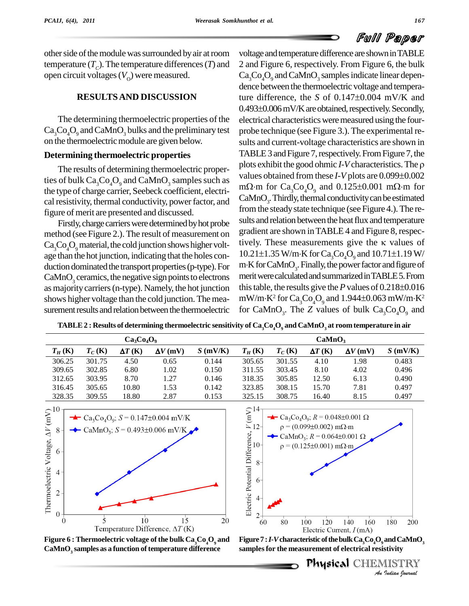

other side of the module was surrounded by air at room temperature  $(T_c)$ . The temperature differences  $(T)$  and  $(2)$  and F open circuit voltages  $(V_0)$  were measured.

### **RESULTSAND DISCUSSION**

The determining thermoelectric properties of the  $Ca_2Co_2O_9$  and  $CaMnO_2$  bulks and the preliminary test on the thermoelectric module are given below.

### **Determining thermoelectric properties**

The results of determining thermoelectric properties of bulk  $Ca_3Co_4O_9$  and  $CaMnO_3$  samples such as the type of charge carrier, Seebeck coefficient, electri cal resistivity, thermal conductivity, power factor, and figure of merit are presented and discussed.

Firstly, charge carriers were determined by hot probe method (see Figure 2.). The result of measurement on  $Ca<sub>3</sub>Co<sub>4</sub>O<sub>9</sub>$  material, the cold junction shows higher voltage than the hot junction, indicating that the holes conduction dominated the transport properties (p-type). For  $CaMnO<sub>3</sub>$  ceramics, the negative sign points to electrons as majority carriers (n-type). Namely, the hot junction shows higher voltage than the cold junction. The measurement results and relation between the thermoelectric voltage and temperature difference are shown in TABLE 2 and Figure 6, respectively. From Figure 6, the bulk Ca<sub>3</sub>Co<sub>4</sub>O<sub>9</sub> and CaMnO<sub>3</sub> samples indicate linear depen-<br>dence between the thermoelectric voltage and tempera-<br>ture difference, the *S* of 0.147±0.004 mV/K and dence between the thermoelectric voltage and tempera-<br>ture difference, the S of  $0.147\pm0.004$  mV/K and<br> $0.493\pm0.006$  mV/K are obtained, respectively. Secondly, electrical characteristics were measured using the fourprobe technique (see Figure 3.).The experimental re sults and current-voltage characteristics are shown in<br>TABLE 3 and Figure 7, respectively. From Figure 7, the<br>plots exhibit the good ohmic *I*-*V* characteristics. The  $\rho$ TABLE 3 and Figure 7, respectively. From Figure 7, the plots exhibit the good ohmic  $I$ - $V$  characteristics. The  $\rho$  values obtained from these  $I$ - $V$  plots are  $0.099\pm0.002$ m $\Omega$ ·m for Ca<sub>3</sub>Co<sub>4</sub>O<sub>9</sub> and 0.125±0.001 m $\Omega$ ·m for  $CaMnO<sub>3</sub>$ . Thirdly, thermal conductivity can be estimated from the steady state technique (see Figure 4.). The results and relation between the heat flux and temperature gradient are shown inTABLE 4 and Figure 8,respectively. These measurements give the  $\kappa$  values of gradient are shown in TABLE 4 and Figure 8, respec-<br>tively. These measurements give the  $\kappa$  values of<br>10.21±1.35 W/m·K for Ca<sub>3</sub>Co<sub>4</sub>O<sub>9</sub> and 10.71±1.19 W/ tively. These measur<br>10.21±1.35 W/m·K fo<br>m·K for CaMnO<sub>3</sub>. Final m K for CaMnO<sub>3</sub>. Finally, the power factor and figure of<br>merit were calculated and summarized in TABLE 5. From<br>this table, the results give the *P* values of 0.218±0.016 meritwerecalculatedandsummarizedinTABLE5.From this table, the results give the P values of  $0.218\pm0.016$ <br>mW/m·K<sup>2</sup> for Ca<sub>3</sub>Co<sub>4</sub>O<sub>9</sub> and 1.944±0.063 mW/m·K<sup>2</sup> for CaMnO<sub>3</sub>. The *Z* values of bulk  $Ca<sub>3</sub>Co<sub>4</sub>O<sub>9</sub>$  and

TABLE 2 : Results of determining thermoelectric sensitivity of Ca<sub>1</sub>Co<sub>4</sub>O<sub>9</sub> and CaMnO<sub>1</sub> at room temperature in air

| $Ca3Co4O9$ |           |                |                 | CaMnO <sub>3</sub> |           |           |                |                 |            |
|------------|-----------|----------------|-----------------|--------------------|-----------|-----------|----------------|-----------------|------------|
| $T_H$ (K)  | $T_C$ (K) | $\Delta T$ (K) | $\Delta V$ (mV) | $S$ (mV/K)         | $T_H$ (K) | $T_C$ (K) | $\Delta T$ (K) | $\Delta V$ (mV) | $S$ (mV/K) |
| 306.25     | 301.75    | 4.50           | 0.65            | 0.144              | 305.65    | 301.55    | 4.10           | 1.98            | 0.483      |
| 309.65     | 302.85    | 6.80           | 1.02            | 0.150              | 311.55    | 303.45    | 8.10           | 4.02            | 0.496      |
| 312.65     | 303.95    | 8.70           | 1.27            | 0.146              | 318.35    | 305.85    | 12.50          | 6.13            | 0.490      |
| 316.45     | 305.65    | 10.80          | 1.53            | 0.142              | 323.85    | 308.15    | 15.70          | 7.81            | 0.497      |
| 328.35     | 309.55    | 18.80          | 2.87            | 0.153              | 325.15    | 308.75    | 16.40          | 8.15            | 0.497      |



**Figure** 6 : Thermoelectric voltage of the bulk  $\text{Ca}_3\text{Co}_4\text{O}_9$  and Figure 7 : *I*-V characteristic of the bulk  $\text{Ca}_3\text{Co}_4\text{O}_9$  and C: CaMnO, samples as a function of temperature difference samples for the measu **CaMnO<sup>3</sup> samples as a function oftemperature difference**



Figure 7 : I-V characteristic of the bulk Ca, Co, O<sub>o</sub> and CaMnO,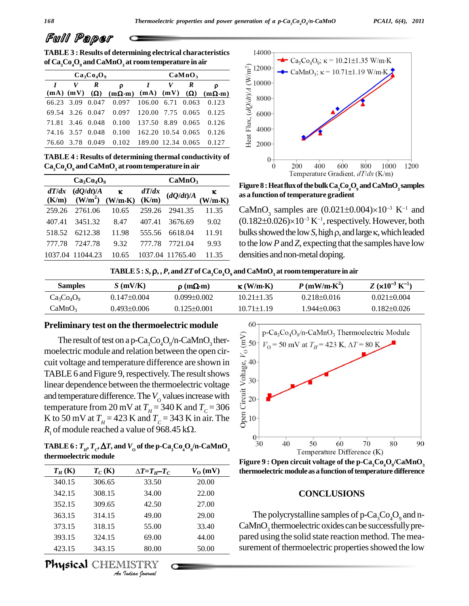**TABLE 3 : Results of determining electrical characteristics of Ca3Co4O<sup>9</sup> andCaMnO<sup>3</sup> at roomtemperature in air**  $\overline{\phantom{0}}$ 

| $Ca3Co4O9$ |            |                  |                                                                                           | CaMnO <sub>3</sub> |   |                  |       |
|------------|------------|------------------|-------------------------------------------------------------------------------------------|--------------------|---|------------------|-------|
|            | V          | R                | $\Omega$                                                                                  |                    | V | $\boldsymbol{R}$ | O     |
|            |            |                  | $(mA)$ $(mV)$ $(\Omega)$ $(m\Omega \cdot m)$ $(mA)$ $(mV)$ $(\Omega)$ $(m\Omega \cdot m)$ |                    |   |                  |       |
|            | 66.23 3.09 |                  | 0.047 0.097 106.00 6.71 0.063                                                             |                    |   |                  | 0.123 |
|            |            |                  | 69.54 3.26 0.047 0.097 120.00 7.75 0.065                                                  |                    |   |                  | 0.125 |
|            |            | 71.81 3.46 0.048 | 0.100 137.50 8.89 0.065                                                                   |                    |   |                  | 0.126 |
| 74.16 3.57 |            | 0.048            | $0.100 \quad 162.20 \quad 10.54 \quad 0.065$                                              |                    |   |                  | 0.126 |
| 76.60      | 3.78       |                  | $0.049$ $0.102$ 189.00 12.34 0.065                                                        |                    |   |                  | 0.127 |

**TABLE 4 : Results of determining thermal conductivity of Ca3Co4O<sup>9</sup> andCaMnO<sup>3</sup> at roomtemperature in air**

|        | $Ca3Co4O9$       |                                                                                                                                  | CaMnO <sub>3</sub> |                  |       |  |
|--------|------------------|----------------------------------------------------------------------------------------------------------------------------------|--------------------|------------------|-------|--|
|        |                  | $dT/dx$ $(dQ/dt)/A$ $\kappa$ $dT/dx$ $(dQ/dt)/A$ $\kappa$<br>(K/m) $(W/m^2)$ $(W/m \cdot K)$ $(K/m)$ $(dQ/dt)/A$ $(W/m \cdot K)$ |                    |                  |       |  |
| 259.26 | 2761.06          | 10.65                                                                                                                            | 259.26             | 2941.35          | 11.35 |  |
| 407.41 | 3451.32          | 8.47                                                                                                                             | 407.41             | 3676.69          | 9.02  |  |
|        | 518.52 6212.38   | 11.98                                                                                                                            |                    | 555.56 6618.04   | 11.91 |  |
| 777.78 | 7247.78          | 9.32                                                                                                                             | 777.78             | 7721.04          | 9.93  |  |
|        | 1037.04 11044.23 | 10.65                                                                                                                            |                    | 1037.04 11765.40 | 11.35 |  |



 **as a function oftemperature gradient Figure8:HeatfluxofthebulkCa3Co4O<sup>9</sup> andCaMnO<sup>3</sup> samples**

Figure 8 : Heat flux of the bulk Ca<sub>3</sub>Co<sub>4</sub>O<sub>9</sub> and CaMnO<sub>3</sub> samples<br>as a function of temperature gradient<br>CaMnO<sub>3</sub> samples are  $(0.021 \pm 0.004) \times 10^{-3}$  K<sup>-1</sup> and<br> $(0.182 \pm 0.026) \times 10^{-3}$  K<sup>-1</sup>, respectively. However, b CaMnO<sub>3</sub> samples are  $(0.021 \pm 0.004) \times 10^{-3}$  K<sup>-1</sup> and<br> $(0.182 \pm 0.026) \times 10^{-3}$  K<sup>-1</sup>, respectively. However, both<br>bulks showed the low *S*, high  $\rho$ , and large  $\kappa$ , which leaded  $(0.182\pm0.026)\times10^{-3}$  K<sup>-1</sup>, respectively. However, both to the low *P* and *Z*, expecting that the samples have low densities and non-metal doping. 9.52  $111.78$   $1121.04$  9.95 to the low *F* and *Z*, expecting that the samp<br>10.65 1037.04 11765.40 11.35 densities and non-metal doping.<br>**TABLE 5** : *S*,  $\rho$ , *P*, and *ZT* of Ca<sub>3</sub>C<sub>0</sub><sub>*Q*</sub>, and CaMnO<sub>3</sub> at room temper

| TABLE 5 : $S$ , $\rho$ , $P$ , and ZT of Ca <sub>3</sub> Co <sub>4</sub> O <sub>9</sub> and CaMnO <sub>3</sub> at room temperature in air |                   |                        |                  |                   |                               |  |  |
|-------------------------------------------------------------------------------------------------------------------------------------------|-------------------|------------------------|------------------|-------------------|-------------------------------|--|--|
| <b>Samples</b>                                                                                                                            | $S$ (mV/K)        | $\rho$ (m $\Omega$ ·m) | $\kappa$ (W/m·K) | $P(mW/m·K^2)$     | $Z (x10^{-3} \text{ K}^{-1})$ |  |  |
| $Ca3Co4O9$                                                                                                                                | $0.147 \pm 0.004$ | $0.099 \pm 0.002$      | $10.21 \pm 1.35$ | $0.218 \pm 0.016$ | $0.021 \pm 0.004$             |  |  |
| CaMnO <sub>3</sub>                                                                                                                        | $0.493 \pm 0.006$ | $0.125 \pm 0.001$      | $10.71 \pm 1.19$ | $1.944\pm0.063$   | $0.182 \pm 0.026$             |  |  |

**Preliminary test on the thermoelectric module**<br>
The result of test on a p-Ca<sub>3</sub>Co<sub>4</sub>O<sub>9</sub>/n-CaMnO<sub>3</sub> ther-<br>
moelectric module and relation between the open cir-<br>
cuit voltage and temperature difference are shown in<br>
TABLE The result of test on a p-Ca<sub>3</sub>Co<sub>4</sub>O<sub>9</sub>/n-CaMnO<sub>3</sub> thermoelectric module and relation between the open cir cuit voltage and temperature difference are shown in TABLE 6 and Figure 9, respectively. The result shows linear dependence between the thermoelectric voltage and temperature difference. The  $V_0$  values increase with temperature from 20 mV at  $T_H$  = 340 K and  $T_C$  = 306 K to 50 mV at  $T_H = 423$  K and  $T_C = 343$  K in air. The  $\frac{8}{66}$  10<sup>-1</sup> temperature from 20 mV at  $T_H = 340$  K and  $T_C =$ <br>*K* to 50 mV at  $T_H = 423$  K and  $T_C = 343$  K in air.<br>*R*<sub>1</sub> of module reached a value of 968.45 k $\Omega$ .

R<sub>1</sub> of module reached a value of 968.45 kΩ.<br>
TABLE 6:  $T_{H}$ ,  $T_{C}$ ,  $\Delta T$ , and  $V_{O}$  of the p-Ca<sub>3</sub>Co<sub>4</sub>O<sub>9</sub>/n-CaMnO<sub>3</sub><br>
thermoelectric module<br>  $T_{H}$  (K)  $T_{C}$  (K)  $\Delta T = T_{H} - T_{C}$   $V_{O}$  (mV) th **thermoelectric module**

| $T_H$ (K) | $T_C(K)$                  | $\Delta T = T_H - T_C$ | $V_{\rm O}$ (mV) | tl |
|-----------|---------------------------|------------------------|------------------|----|
| 340.15    | 306.65                    | 33.50                  | 20.00            |    |
| 342.15    | 308.15                    | 34.00                  | 22.00            |    |
| 352.15    | 309.65                    | 42.50                  | 27.00            |    |
| 363.15    | 314.15                    | 49.00                  | 29.00            |    |
| 373.15    | 318.15                    | 55.00                  | 33.40            |    |
| 393.15    | 324.15                    | 69.00                  | 44.00            | F  |
| 423.15    | 343.15                    | 80.00                  | 50.00            | S  |
|           | <b>Physical CHEMISTRY</b> | An Indian Nournal      |                  |    |



**Figure** 9 **:** Open circuit voltage of the  $p$ -Ca,Co,O<sub>a</sub>/CaMnO<sub>2</sub> **thermoelectric module as a function of temperature difference** 

#### **CONCLUSIONS**

The polycrystalline samples of  $p$ -Ca<sub>3</sub>Co<sub>4</sub>O<sub>9</sub> and n-CaMnO<sub>3</sub> thermoelectric oxides can be successfully prepared using the solid state reaction method. The mea surement of thermoelectric properties showed the low